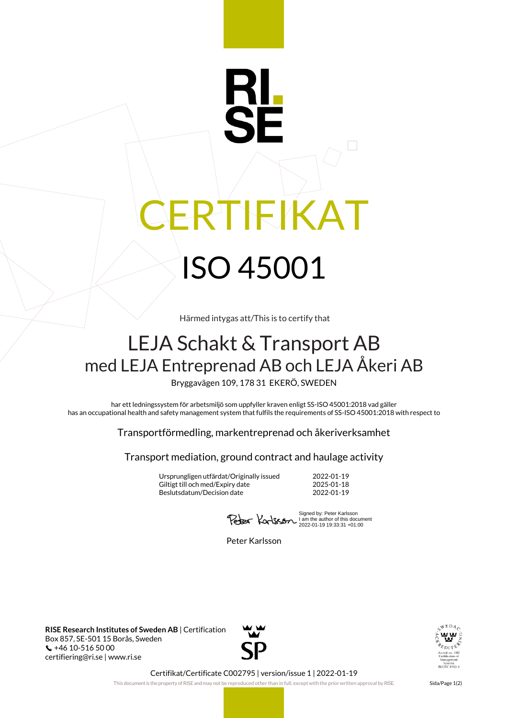## RTIFIKAT ISO 45001

Härmed intygas att/This is to certify that

## LEJA Schakt & Transport AB med LEJA Entreprenad AB och LEJA Åkeri AB

Bryggavägen 109, 178 31 EKERÖ, SWEDEN

har ett ledningssystem för arbetsmiljö som uppfyller kraven enligt SS-ISO 45001:2018 vad gäller has an occupational health and safety management system that fulfils the requirements of SS-ISO 45001:2018 with respect to

Transportförmedling, markentreprenad och åkeriverksamhet

Transport mediation, ground contract and haulage activity

Ursprungligen utfärdat/Originally issued 2022-01-19 Giltigt till och med/Expiry date Beslutsdatum/Decision date 2022-01-19

Signed by: Peter Karlsson I am the author of this document 2022-01-19 19:33:31 +01:00

Peter Karlsson

**RISE Research Institutes of Sweden AB** | Certification Box 857, SE-501 15 Borås, Sweden +46 10-516 50 00 certifiering@ri.se | www.ri.se





Certifikat/Certificate C002795 | version/issue 1 | 2022-01-19

This document is the property of RISE and may not be reproduced other than in full, except with the prior written approval by RISE. Sida/Page 1(2)